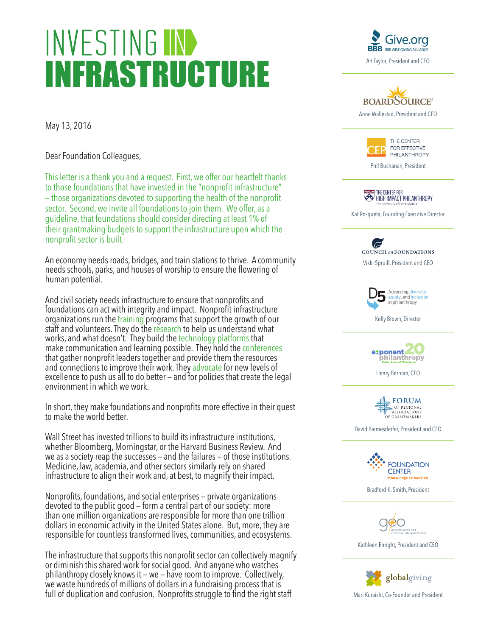## **INVESTING IN INFRASTRUCTURE**

BBB WISE GIVING ALLIAN Art Taylor, President and CEO

May 13, 2016

Dear Foundation Colleagues,

This letter is a thank you and a request. First, we offer our heartfelt thanks to those foundations that have invested in the "nonprofit infrastructure" — those organizations devoted to supporting the health of the nonprofit sector. Second, we invite all foundations to join them. We offer, as a guideline, that foundations should consider directing at least 1% of their grantmaking budgets to support the infrastructure upon which the nonprofit sector is built.

An economy needs roads, bridges, and train stations to thrive. A community needs schools, parks, and houses of worship to ensure the flowering of human potential.

And civil society needs infrastructure to ensure that nonprofits and foundations can act with integrity and impact. Nonprofit infrastructure organizations run the training programs that support the growth of our staff and volunteers. They do the research to help us understand what works, and what doesn't. They build the technology platforms that make communication and learning possible. They hold the conferences that gather nonprofit leaders together and provide them the resources and connections to improve their work. They advocate for new levels of excellence to push us all to do better — and for policies that create the legal environment in which we work.

In short, they make foundations and nonprofits more effective in their quest to make the world better.

Wall Street has invested trillions to build its infrastructure institutions, whether Bloomberg, Morningstar, or the Harvard Business Review. And we as a society reap the successes — and the failures — of those institutions. Medicine, law, academia, and other sectors similarly rely on shared infrastructure to align their work and, at best, to magnify their impact.

Nonprofits, foundations, and social enterprises — private organizations devoted to the public good — form a central part of our society: more than one million organizations are responsible for more than one trillion dollars in economic activity in the United States alone. But, more, they are responsible for countless transformed lives, communities, and ecosystems.

The infrastructure that supports this nonprofit sector can collectively magnify or diminish this shared work for social good. And anyone who watches philanthropy closely knows it — we — have room to improve. Collectively, we waste hundreds of millions of dollars in a fundraising process that is full of duplication and confusion. Nonprofits struggle to find the right staff Mari Kuraishi, Co-Founder and President